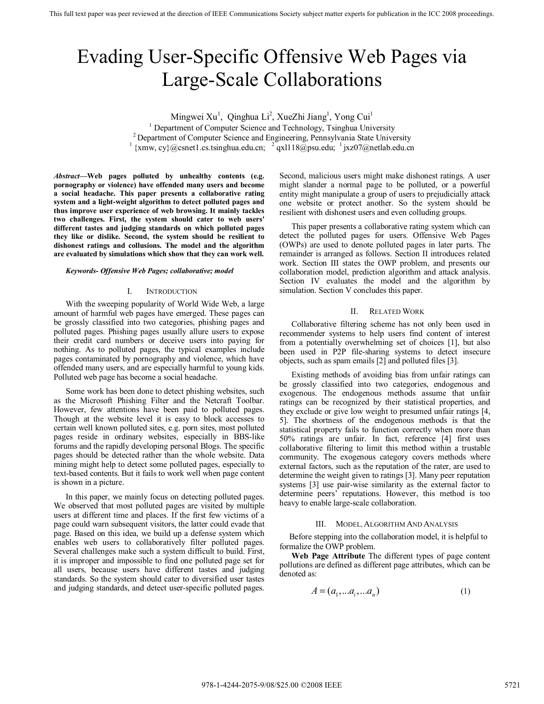# Evading User-Specific Offensive Web Pages via Large-Scale Collaborations

Mingwei Xu<sup>1</sup>, Qinghua Li<sup>2</sup>, XueZhi Jiang<sup>1</sup>, Yong Cui<sup>1</sup> <sup>1</sup> Department of Computer Science and Technology, Tsinghua University <sup>1</sup> Department of Computer Science and Technology, Tsinghua University<br><sup>2</sup> Department of Computer Science and Engineering, Pennsylvania State University<br><sup>1</sup> {xmw, cy} @csnet1.cs.tsinghua.edu.cn; <sup>2</sup> qxl118@psu.edu; <sup>1</sup> jx

*Abstract—***Web pages polluted by unhealthy contents (e.g. pornography or violence) have offended many users and become a social headache. This paper presents a collaborative rating system and a light-weight algorithm to detect polluted pages and thus improve user experience of web browsing. It mainly tackles two challenges. First, the system should cater to web users' different tastes and judging standards on which polluted pages they like or dislike. Second, the system should be resilient to dishonest ratings and collusions. The model and the algorithm are evaluated by simulations which show that they can work well.** 

#### *Keywords- Offensive Web Pages; collaborative; model*

# I. INTRODUCTION

With the sweeping popularity of World Wide Web, a large amount of harmful web pages have emerged. These pages can be grossly classified into two categories, phishing pages and polluted pages. Phishing pages usually allure users to expose their credit card numbers or deceive users into paying for nothing. As to polluted pages, the typical examples include pages contaminated by pornography and violence, which have offended many users, and are especially harmful to young kids. Polluted web page has become a social headache.

Some work has been done to detect phishing websites, such as the Microsoft Phishing Filter and the Netcraft Toolbar. However, few attentions have been paid to polluted pages. Though at the website level it is easy to block accesses to certain well known polluted sites, e.g. porn sites, most polluted pages reside in ordinary websites, especially in BBS-like forums and the rapidly developing personal Blogs. The specific pages should be detected rather than the whole website. Data mining might help to detect some polluted pages, especially to text-based contents. But it fails to work well when page content is shown in a picture.

In this paper, we mainly focus on detecting polluted pages. We observed that most polluted pages are visited by multiple users at different time and places. If the first few victims of a page could warn subsequent visitors, the latter could evade that page. Based on this idea, we build up a defense system which enables web users to collaboratively filter polluted pages. Several challenges make such a system difficult to build. First, it is improper and impossible to find one polluted page set for all users, because users have different tastes and judging standards. So the system should cater to diversified user tastes and judging standards, and detect user-specific polluted pages.

Second, malicious users might make dishonest ratings. A user might slander a normal page to be polluted, or a powerful entity might manipulate a group of users to prejudicially attack one website or protect another. So the system should be resilient with dishonest users and even colluding groups.

This paper presents a collaborative rating system which can detect the polluted pages for users. Offensive Web Pages (OWPs) are used to denote polluted pages in later parts. The remainder is arranged as follows. Section II introduces related work. Section III states the OWP problem, and presents our collaboration model, prediction algorithm and attack analysis. Section IV evaluates the model and the algorithm by simulation. Section V concludes this paper.

#### II. RELATED WORK

Collaborative filtering scheme has not only been used in recommender systems to help users find content of interest from a potentially overwhelming set of choices [1], but also been used in P2P file-sharing systems to detect insecure objects, such as spam emails [2] and polluted files [3].

Existing methods of avoiding bias from unfair ratings can be grossly classified into two categories, endogenous and exogenous. The endogenous methods assume that unfair ratings can be recognized by their statistical properties, and they exclude or give low weight to presumed unfair ratings [4, 5]. The shortness of the endogenous methods is that the statistical property fails to function correctly when more than 50% ratings are unfair. In fact, reference [4] first uses collaborative filtering to limit this method within a trustable community. The exogenous category covers methods where external factors, such as the reputation of the rater, are used to determine the weight given to ratings [3]. Many peer reputation systems [3] use pair-wise similarity as the external factor to determine peers' reputations. However, this method is too heavy to enable large-scale collaboration.

## III. MODEL, ALGORITHM AND ANALYSIS

Before stepping into the collaboration model, it is helpful to formalize the OWP problem.

**Web Page Attribute** The different types of page content pollutions are defined as different page attributes, which can be denoted as:

$$
A = (a_1, \dots a_i, \dots a_n) \tag{1}
$$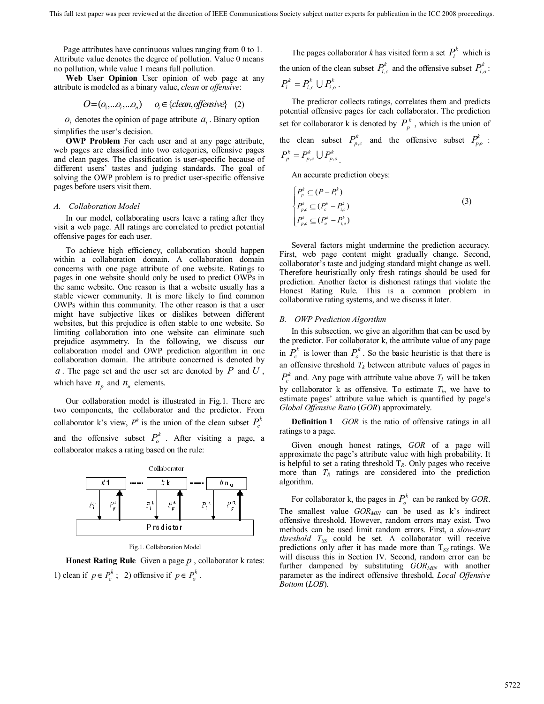Page attributes have continuous values ranging from 0 to 1. Attribute value denotes the degree of pollution. Value 0 means no pollution, while value 1 means full pollution.

**Web User Opinion** User opinion of web page at any attribute is modeled as a binary value, *clean* or *offensive*:

$$
O = (o_1, \ldots o_i, \ldots o_n) \qquad o_i \in \{clean, offensive\} \quad (2)
$$

 $o_i$  denotes the opinion of page attribute  $a_i$ . Binary option simplifies the user's decision.

**OWP Problem** For each user and at any page attribute, web pages are classified into two categories, offensive pages and clean pages. The classification is user-specific because of different users' tastes and judging standards. The goal of solving the OWP problem is to predict user-specific offensive pages before users visit them.

## *A. Collaboration Model*

In our model, collaborating users leave a rating after they visit a web page. All ratings are correlated to predict potential offensive pages for each user.

To achieve high efficiency, collaboration should happen within a collaboration domain. A collaboration domain concerns with one page attribute of one website. Ratings to pages in one website should only be used to predict OWPs in the same website. One reason is that a website usually has a stable viewer community. It is more likely to find common OWPs within this community. The other reason is that a user might have subjective likes or dislikes between different websites, but this prejudice is often stable to one website. So limiting collaboration into one website can eliminate such prejudice asymmetry. In the following, we discuss our collaboration model and OWP prediction algorithm in one collaboration domain. The attribute concerned is denoted by *a* . The page set and the user set are denoted by *P* and *U* , which have  $n_p$  and  $n_u$  elements.

Our collaboration model is illustrated in Fig.1. There are two components, the collaborator and the predictor. From collaborator k's view,  $P^k$  is the union of the clean subset  $P_c^k$ and the offensive subset  $P_o^k$ . After visiting a page, a collaborator makes a rating based on the rule:



Fig.1. Collaboration Model

**Honest Rating Rule** Given a page *p* , collaborator k rates: 1) clean if  $p \in P_c^k$ ; 2) offensive if  $p \in P_o^k$ .

The pages collaborator *k* has visited form a set  $P_i^k$  which is the union of the clean subset  $P_{i,c}^{k}$  and the offensive subset  $P_{i,o}^{k}$ :

$$
P_i^k = P_{i,c}^k \cup P_{i,o}^k.
$$

The predictor collects ratings, correlates them and predicts potential offensive pages for each collaborator. The prediction set for collaborator k is denoted by  $P_p^k$ , which is the union of the clean subset  $P_{p,c}^{k}$  and the offensive subset  $P_{p,o}^{k}$  :  $P_p^k = P_{p,c}^k \cup P_{p,o}^k$ .

An accurate prediction obeys:

$$
\begin{cases}\nP_p^k \subseteq (P - P_i^k) \\
P_{p,c}^k \subseteq (P_c^k - P_{i,c}^k) \\
P_{p,o}^k \subseteq (P_o^k - P_{i,o}^k)\n\end{cases} \tag{3}
$$

Several factors might undermine the prediction accuracy. First, web page content might gradually change. Second, collaborator's taste and judging standard might change as well. Therefore heuristically only fresh ratings should be used for prediction. Another factor is dishonest ratings that violate the Honest Rating Rule. This is a common problem in collaborative rating systems, and we discuss it later.

#### *B. OWP Prediction Algorithm*

In this subsection, we give an algorithm that can be used by the predictor. For collaborator k, the attribute value of any page in  $P_c^k$  is lower than  $P_o^k$ . So the basic heuristic is that there is an offensive threshold  $T_k$  between attribute values of pages in  $P_c^k$  and. Any page with attribute value above  $T_k$  will be taken by collaborator k as offensive. To estimate  $T_k$ , we have to estimate pages' attribute value which is quantified by page's *Global Offensive Ratio* (*GOR*) approximately.

**Definition 1** *GOR* is the ratio of offensive ratings in all ratings to a page.

Given enough honest ratings, *GOR* of a page will approximate the page's attribute value with high probability. It is helpful to set a rating threshold  $T_R$ . Only pages who receive more than  $T_R$  ratings are considered into the prediction algorithm.

For collaborator k, the pages in  $P_o^k$  can be ranked by *GOR*. The smallest value *GORMIN* can be used as k's indirect offensive threshold. However, random errors may exist. Two methods can be used limit random errors. First, a *slow-start threshold*  $T_{SS}$  could be set. A collaborator will receive predictions only after it has made more than T*SS* ratings. We will discuss this in Section IV. Second, random error can be further dampened by substituting  $GOR_{MIN}$  with another parameter as the indirect offensive threshold, *Local Offensive Bottom* (*LOB*).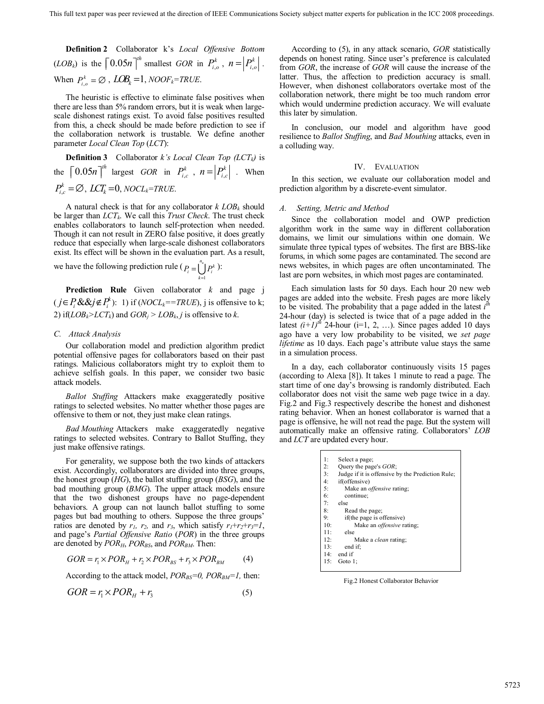**Definition 2** Collaborator k's *Local Offensive Bottom*  $(LOB_k)$  is the  $\lceil 0.05n \rceil^h$  smallest *GOR* in  $P_{i,o}^k$ ,  $n = |P_{i,o}^k|$ . When  $P_{i,o}^k = \emptyset$ ,  $\text{LOB}_k = 1$ ,  $\text{NOOF}_k = \text{TRUE}$ .

The heuristic is effective to eliminate false positives when there are less than 5% random errors, but it is weak when largescale dishonest ratings exist. To avoid false positives resulted from this, a check should be made before prediction to see if the collaboration network is trustable. We define another parameter *Local Clean Top* (*LCT*):

**Definition 3** Collaborator  $k$ 's Local Clean Top (LCT<sub>k</sub>) is the  $\left\lceil 0.05n \right\rceil^{th}$  largest *GOR* in  $P_{i,c}^{k}$ ,  $n = \left| P_{i,c}^{k} \right|$ . When  $P_{i,c}^{k} = \emptyset$ ,  $LCT_{k} = 0$ ,  $NOCL_{k} = TRUE$ .

A natural check is that for any collaborator  $k$   $LOB_k$  should be larger than  $LCT_k$ . We call this *Trust Check*. The trust check enables collaborators to launch self-protection when needed. Though it can not result in ZERO false positive, it does greatly reduce that especially when large-scale dishonest collaborators exist. Its effect will be shown in the evaluation part. As a result,

we have the following prediction rule  $(P_i = \bigcup_{i=1}^{n_u} P_i^k)$ : 1 *k* =

**Prediction Rule** Given collaborator *k* and page j  $(j \in P_i \&\&j \notin P_i^k$ : 1) if (*NOCL<sub>k</sub>*==*TRUE*), j is offensive to k; 2) if( $\text{LOB}_k > \text{LCT}_k$ ) and  $\text{GOR}_i > \text{LOB}_k$ , *j* is offensive to *k*.

## *C. Attack Analysis*

Our collaboration model and prediction algorithm predict potential offensive pages for collaborators based on their past ratings. Malicious collaborators might try to exploit them to achieve selfish goals. In this paper, we consider two basic attack models.

*Ballot Stuffing* Attackers make exaggeratedly positive ratings to selected websites. No matter whether those pages are offensive to them or not, they just make clean ratings.

*Bad Mouthing* Attackers make exaggeratedly negative ratings to selected websites. Contrary to Ballot Stuffing, they just make offensive ratings.

For generality, we suppose both the two kinds of attackers exist. Accordingly, collaborators are divided into three groups, the honest group (*HG*), the ballot stuffing group (*BSG*), and the bad mouthing group (*BMG*). The upper attack models ensure that the two dishonest groups have no page-dependent behaviors. A group can not launch ballot stuffing to some pages but bad mouthing to others. Suppose the three groups' ratios are denoted by  $r_1$ ,  $r_2$ , and  $r_3$ , which satisfy  $r_1+r_2+r_3=1$ , and page's *Partial Offensive Ratio* (*POR*) in the three groups are denoted by  $POR<sub>H</sub>$ ,  $POR<sub>BS</sub>$ , and  $POR<sub>BM</sub>$ . Then:

$$
GOR = r_1 \times POR_H + r_2 \times POR_{BS} + r_3 \times POR_{BM}
$$
 (4)

According to the attack model,  $POR_{BS}=0$ ,  $POR_{BM}=1$ , then:

$$
GOR = r_1 \times POR_H + r_3 \tag{5}
$$

According to (5), in any attack scenario, *GOR* statistically depends on honest rating. Since user's preference is calculated from *GOR*, the increase of *GOR* will cause the increase of the latter. Thus, the affection to prediction accuracy is small. However, when dishonest collaborators overtake most of the collaboration network, there might be too much random error which would undermine prediction accuracy. We will evaluate this later by simulation.

In conclusion, our model and algorithm have good resilience to *Ballot Stuffing*, and *Bad Mouthing* attacks, even in a colluding way.

## IV. EVALUATION

In this section, we evaluate our collaboration model and prediction algorithm by a discrete-event simulator.

#### *A. Setting, Metric and Method*

Since the collaboration model and OWP prediction algorithm work in the same way in different collaboration domains, we limit our simulations within one domain. We simulate three typical types of websites. The first are BBS-like forums, in which some pages are contaminated. The second are news websites, in which pages are often uncontaminated. The last are porn websites, in which most pages are contaminated.

Each simulation lasts for 50 days. Each hour 20 new web pages are added into the website. Fresh pages are more likely to be visited. The probability that a page added in the latest  $i^{th}$ 24-hour (day) is selected is twice that of a page added in the latest  $(i+1)^{th}$  24-hour (i=1, 2, ...). Since pages added 10 days ago have a very low probability to be visited, we *set page lifetime* as 10 days. Each page's attribute value stays the same in a simulation process.

In a day, each collaborator continuously visits 15 pages (according to Alexa [8]). It takes 1 minute to read a page. The start time of one day's browsing is randomly distributed. Each collaborator does not visit the same web page twice in a day. Fig.2 and Fig.3 respectively describe the honest and dishonest rating behavior. When an honest collaborator is warned that a page is offensive, he will not read the page. But the system will automatically make an offensive rating. Collaborators' *LOB* and *LCT* are updated every hour.

|                 | Select a page;                                   |
|-----------------|--------------------------------------------------|
| $\frac{2}{3}$   | Ouery the page's GOR;                            |
|                 | Judge if it is offensive by the Prediction Rule; |
| 4:              | if(offensive)                                    |
| 5:              | Make an <i>offensive</i> rating;                 |
| 6:              | continue;                                        |
| 7:              | else                                             |
| 8:              | Read the page;                                   |
| 9:              | if(the page is offensive)                        |
| 10 <sup>1</sup> | Make an <i>offensive</i> rating:                 |
| 11:             | else                                             |
| 12:             | Make a <i>clean</i> rating:                      |
| 13:             | end if:                                          |
|                 | 14: end if                                       |
| 15:             | Goto $1$ :                                       |
|                 |                                                  |

Fig.2 Honest Collaborator Behavior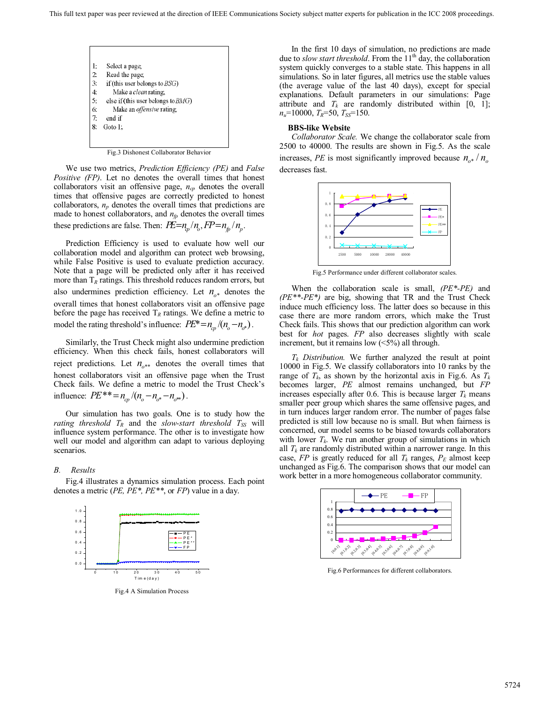

Fig.3 Dishonest Collaborator Behavior

We use two metrics, *Prediction Efficiency (PE)* and *False Positive (FP)*. Let no denotes the overall times that honest collaborators visit an offensive page,  $n_{cp}$  denotes the overall times that offensive pages are correctly predicted to honest collaborators,  $n_p$  denotes the overall times that predictions are made to honest collaborators, and  $n_f$  denotes the overall times these predictions are false. Then:  $PE=n_p/n_p$ ,  $FP=n_p/n_p$ .

Prediction Efficiency is used to evaluate how well our collaboration model and algorithm can protect web browsing, while False Positive is used to evaluate prediction accuracy. Note that a page will be predicted only after it has received more than  $T_R$  ratings. This threshold reduces random errors, but also undermines prediction efficiency. Let  $n_{\alpha^*}$  denotes the overall times that honest collaborators visit an offensive page before the page has received  $T_R$  ratings. We define a metric to model the rating threshold's influence:  $PE^* = n_{n}/(n_{o} - n_{o^*})$ .

Similarly, the Trust Check might also undermine prediction efficiency. When this check fails, honest collaborators will reject predictions. Let  $n_{o^{**}}$  denotes the overall times that honest collaborators visit an offensive page when the Trust Check fails. We define a metric to model the Trust Check's influence:  $PE^{**} = n_{c} / (n_{o} - n_{o*} - n_{o*})$ .

Our simulation has two goals. One is to study how the *rating threshold*  $T_R$  and the *slow-start threshold*  $T_{SS}$  will influence system performance. The other is to investigate how well our model and algorithm can adapt to various deploying scenarios.

## *B. Results*

Fig.4 illustrates a dynamics simulation process. Each point denotes a metric (*PE, PE\*, PE\*\**, or *FP*) value in a day.



Fig.4 A Simulation Process

In the first 10 days of simulation, no predictions are made due to *slow start threshold*. From the 11<sup>th</sup> day, the collaboration system quickly converges to a stable state. This happens in all simulations. So in later figures, all metrics use the stable values (the average value of the last 40 days), except for special explanations. Default parameters in our simulations: Page attribute and  $T_k$  are randomly distributed within  $[0, 1]$ ;  $n_u=10000$ ,  $T_R=50$ ,  $T_{SS}=150$ .

#### **BBS-like Website**

*Collaborator Scale.* We change the collaborator scale from 2500 to 40000. The results are shown in Fig.5. As the scale increases, *PE* is most significantly improved because  $n_{\alpha*} / n_{\alpha}$ decreases fast.



Fig.5 Performance under different collaborator scales.

When the collaboration scale is small, *(PE\*-PE)* and *(PE\*\*-PE\*)* are big, showing that TR and the Trust Check induce much efficiency loss. The latter does so because in this case there are more random errors, which make the Trust Check fails. This shows that our prediction algorithm can work best for *hot* pages. *FP* also decreases slightly with scale increment, but it remains low  $(5\%)$  all through.

 $T_k$  *Distribution*. We further analyzed the result at point 10000 in Fig.5. We classify collaborators into 10 ranks by the range of  $T_k$ , as shown by the horizontal axis in Fig.6. As  $T_k$ becomes larger, *PE* almost remains unchanged, but *FP* increases especially after 0.6. This is because larger  $T_k$  means smaller peer group which shares the same offensive pages, and in turn induces larger random error. The number of pages false predicted is still low because no is small. But when fairness is concerned, our model seems to be biased towards collaborators with lower  $T_k$ . We run another group of simulations in which all  $T_k$  are randomly distributed within a narrower range. In this case,  $FP$  is greatly reduced for all  $T_k$  ranges,  $P_E$  almost keep unchanged as Fig.6. The comparison shows that our model can work better in a more homogeneous collaborator community.



Fig.6 Performances for different collaborators.